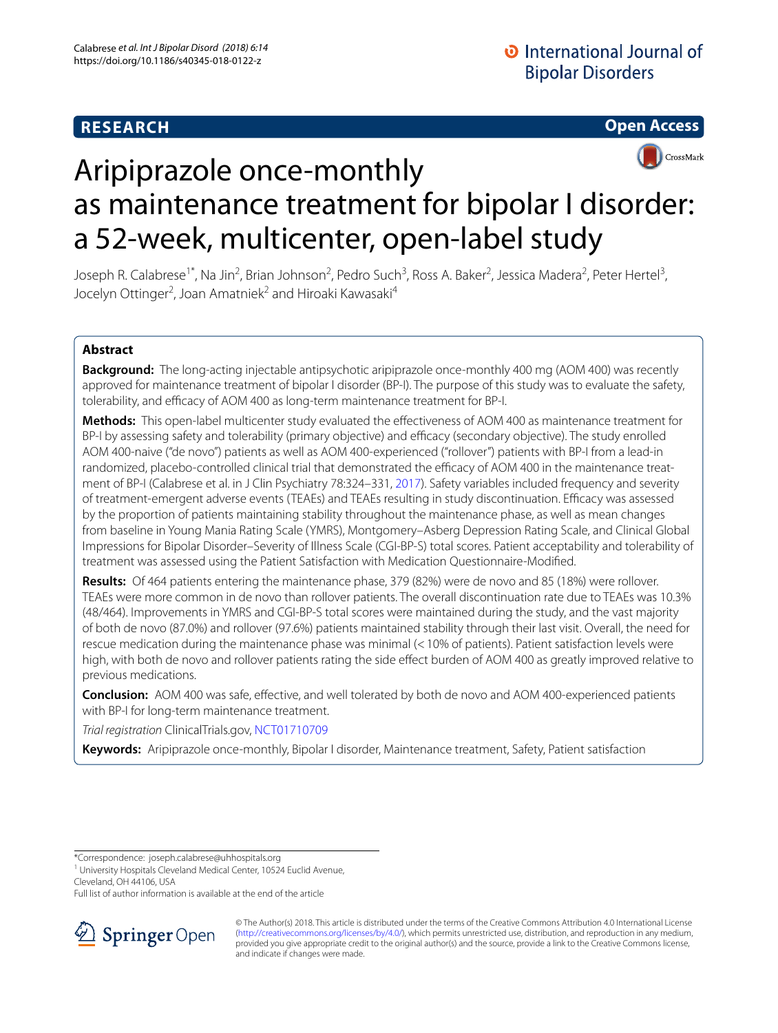# **RESEARCH**

**Open Access**



# Aripiprazole once-monthly as maintenance treatment for bipolar I disorder: a 52-week, multicenter, open-label study

Joseph R. Calabrese<sup>1\*</sup>, Na Jin<sup>2</sup>, Brian Johnson<sup>2</sup>, Pedro Such<sup>3</sup>, Ross A. Baker<sup>2</sup>, Jessica Madera<sup>2</sup>, Peter Hertel<sup>3</sup>, Jocelyn Ottinger<sup>2</sup>, Joan Amatniek<sup>2</sup> and Hiroaki Kawasaki<sup>4</sup>

# **Abstract**

**Background:** The long-acting injectable antipsychotic aripiprazole once-monthly 400 mg (AOM 400) was recently approved for maintenance treatment of bipolar I disorder (BP-I). The purpose of this study was to evaluate the safety, tolerability, and efficacy of AOM 400 as long-term maintenance treatment for BP-I.

**Methods:** This open-label multicenter study evaluated the efectiveness of AOM 400 as maintenance treatment for BP-I by assessing safety and tolerability (primary objective) and efficacy (secondary objective). The study enrolled AOM 400-naive ("de novo") patients as well as AOM 400-experienced ("rollover") patients with BP-I from a lead-in randomized, placebo-controlled clinical trial that demonstrated the efficacy of AOM 400 in the maintenance treatment of BP-I (Calabrese et al. in J Clin Psychiatry 78:324–331, [2017](#page-9-0)). Safety variables included frequency and severity of treatment-emergent adverse events (TEAEs) and TEAEs resulting in study discontinuation. Efficacy was assessed by the proportion of patients maintaining stability throughout the maintenance phase, as well as mean changes from baseline in Young Mania Rating Scale (YMRS), Montgomery–Asberg Depression Rating Scale, and Clinical Global Impressions for Bipolar Disorder–Severity of Illness Scale (CGI-BP-S) total scores. Patient acceptability and tolerability of treatment was assessed using the Patient Satisfaction with Medication Questionnaire-Modifed.

**Results:** Of 464 patients entering the maintenance phase, 379 (82%) were de novo and 85 (18%) were rollover. TEAEs were more common in de novo than rollover patients. The overall discontinuation rate due to TEAEs was 10.3% (48/464). Improvements in YMRS and CGI-BP-S total scores were maintained during the study, and the vast majority of both de novo (87.0%) and rollover (97.6%) patients maintained stability through their last visit. Overall, the need for rescue medication during the maintenance phase was minimal (<10% of patients). Patient satisfaction levels were high, with both de novo and rollover patients rating the side efect burden of AOM 400 as greatly improved relative to previous medications.

**Conclusion:** AOM 400 was safe, efective, and well tolerated by both de novo and AOM 400-experienced patients with BP-I for long-term maintenance treatment.

*Trial registration* ClinicalTrials.gov, [NCT01710709](https://clinicaltrials.gov/ct2/show/NCT01710709?term=NCT01710709&rank=1)

**Keywords:** Aripiprazole once-monthly, Bipolar I disorder, Maintenance treatment, Safety, Patient satisfaction

\*Correspondence: joseph.calabrese@uhhospitals.org

Cleveland, OH 44106, USA

Full list of author information is available at the end of the article



<sup>©</sup> The Author(s) 2018. This article is distributed under the terms of the Creative Commons Attribution 4.0 International License [\(http://creativecommons.org/licenses/by/4.0/\)](http://creativecommons.org/licenses/by/4.0/), which permits unrestricted use, distribution, and reproduction in any medium, provided you give appropriate credit to the original author(s) and the source, provide a link to the Creative Commons license, and indicate if changes were made.

<sup>&</sup>lt;sup>1</sup> University Hospitals Cleveland Medical Center, 10524 Euclid Avenue,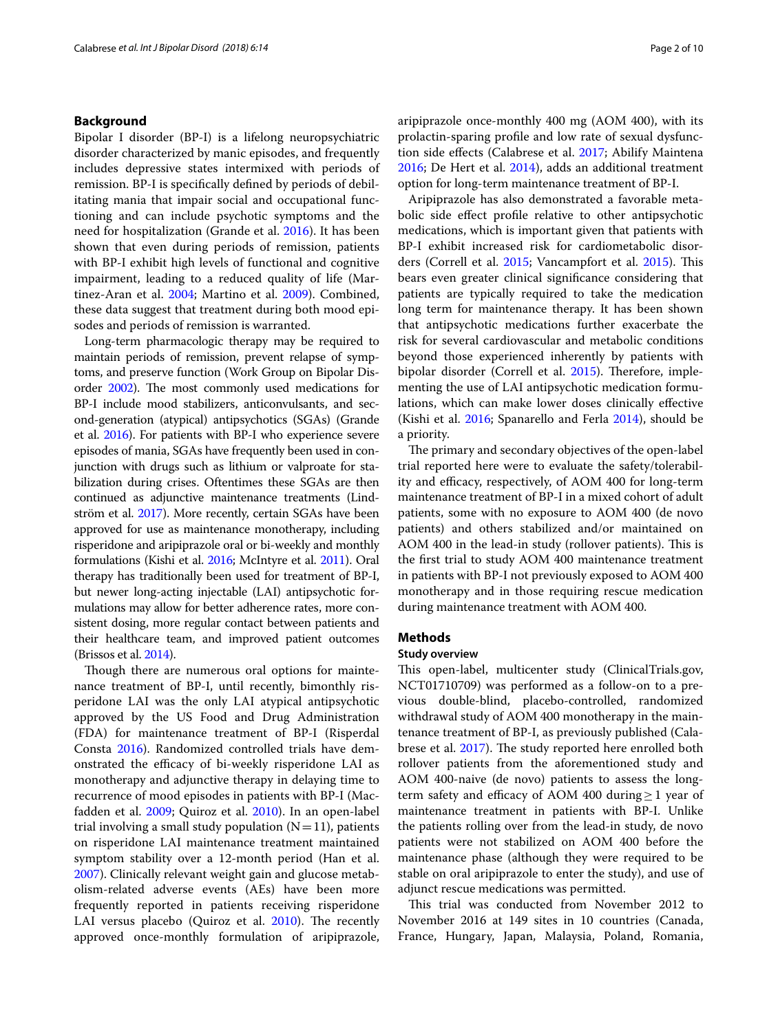# **Background**

Bipolar I disorder (BP-I) is a lifelong neuropsychiatric disorder characterized by manic episodes, and frequently includes depressive states intermixed with periods of remission. BP-I is specifcally defned by periods of debilitating mania that impair social and occupational functioning and can include psychotic symptoms and the need for hospitalization (Grande et al. [2016\)](#page-9-1). It has been shown that even during periods of remission, patients with BP-I exhibit high levels of functional and cognitive impairment, leading to a reduced quality of life (Martinez-Aran et al. [2004;](#page-9-2) Martino et al. [2009](#page-9-3)). Combined, these data suggest that treatment during both mood episodes and periods of remission is warranted.

Long-term pharmacologic therapy may be required to maintain periods of remission, prevent relapse of symptoms, and preserve function (Work Group on Bipolar Dis-order [2002\)](#page-9-4). The most commonly used medications for BP-I include mood stabilizers, anticonvulsants, and second-generation (atypical) antipsychotics (SGAs) (Grande et al. [2016](#page-9-1)). For patients with BP-I who experience severe episodes of mania, SGAs have frequently been used in conjunction with drugs such as lithium or valproate for stabilization during crises. Oftentimes these SGAs are then continued as adjunctive maintenance treatments (Lindström et al. [2017\)](#page-9-5). More recently, certain SGAs have been approved for use as maintenance monotherapy, including risperidone and aripiprazole oral or bi-weekly and monthly formulations (Kishi et al. [2016](#page-9-6); McIntyre et al. [2011](#page-9-7)). Oral therapy has traditionally been used for treatment of BP-I, but newer long-acting injectable (LAI) antipsychotic formulations may allow for better adherence rates, more consistent dosing, more regular contact between patients and their healthcare team, and improved patient outcomes (Brissos et al. [2014\)](#page-9-8).

Though there are numerous oral options for maintenance treatment of BP-I, until recently, bimonthly risperidone LAI was the only LAI atypical antipsychotic approved by the US Food and Drug Administration (FDA) for maintenance treatment of BP-I (Risperdal Consta [2016](#page-9-9)). Randomized controlled trials have demonstrated the efficacy of bi-weekly risperidone LAI as monotherapy and adjunctive therapy in delaying time to recurrence of mood episodes in patients with BP-I (Macfadden et al. [2009;](#page-9-10) Quiroz et al. [2010\)](#page-9-11). In an open-label trial involving a small study population  $(N=11)$ , patients on risperidone LAI maintenance treatment maintained symptom stability over a 12-month period (Han et al. [2007](#page-9-12)). Clinically relevant weight gain and glucose metabolism-related adverse events (AEs) have been more frequently reported in patients receiving risperidone LAI versus placebo (Quiroz et al.  $2010$ ). The recently approved once-monthly formulation of aripiprazole, aripiprazole once-monthly 400 mg (AOM 400), with its prolactin-sparing profle and low rate of sexual dysfunction side efects (Calabrese et al. [2017](#page-9-13); Abilify Maintena [2016](#page-9-0); De Hert et al. [2014](#page-9-14)), adds an additional treatment option for long-term maintenance treatment of BP-I.

Aripiprazole has also demonstrated a favorable metabolic side efect profle relative to other antipsychotic medications, which is important given that patients with BP-I exhibit increased risk for cardiometabolic disor-ders (Correll et al. [2015](#page-9-16); Vancampfort et al. 2015). This bears even greater clinical signifcance considering that patients are typically required to take the medication long term for maintenance therapy. It has been shown that antipsychotic medications further exacerbate the risk for several cardiovascular and metabolic conditions beyond those experienced inherently by patients with bipolar disorder (Correll et al. [2015\)](#page-9-15). Therefore, implementing the use of LAI antipsychotic medication formulations, which can make lower doses clinically efective (Kishi et al. [2016;](#page-9-6) Spanarello and Ferla [2014](#page-9-17)), should be a priority.

The primary and secondary objectives of the open-label trial reported here were to evaluate the safety/tolerability and efficacy, respectively, of AOM 400 for long-term maintenance treatment of BP-I in a mixed cohort of adult patients, some with no exposure to AOM 400 (de novo patients) and others stabilized and/or maintained on AOM 400 in the lead-in study (rollover patients). This is the frst trial to study AOM 400 maintenance treatment in patients with BP-I not previously exposed to AOM 400 monotherapy and in those requiring rescue medication during maintenance treatment with AOM 400.

# **Methods**

#### **Study overview**

This open-label, multicenter study (ClinicalTrials.gov, NCT01710709) was performed as a follow-on to a previous double-blind, placebo-controlled, randomized withdrawal study of AOM 400 monotherapy in the maintenance treatment of BP-I, as previously published (Cala-brese et al. [2017\)](#page-9-13). The study reported here enrolled both rollover patients from the aforementioned study and AOM 400-naive (de novo) patients to assess the longterm safety and efficacy of AOM 400 during  $\geq$  1 year of maintenance treatment in patients with BP-I. Unlike the patients rolling over from the lead-in study, de novo patients were not stabilized on AOM 400 before the maintenance phase (although they were required to be stable on oral aripiprazole to enter the study), and use of adjunct rescue medications was permitted.

This trial was conducted from November 2012 to November 2016 at 149 sites in 10 countries (Canada, France, Hungary, Japan, Malaysia, Poland, Romania,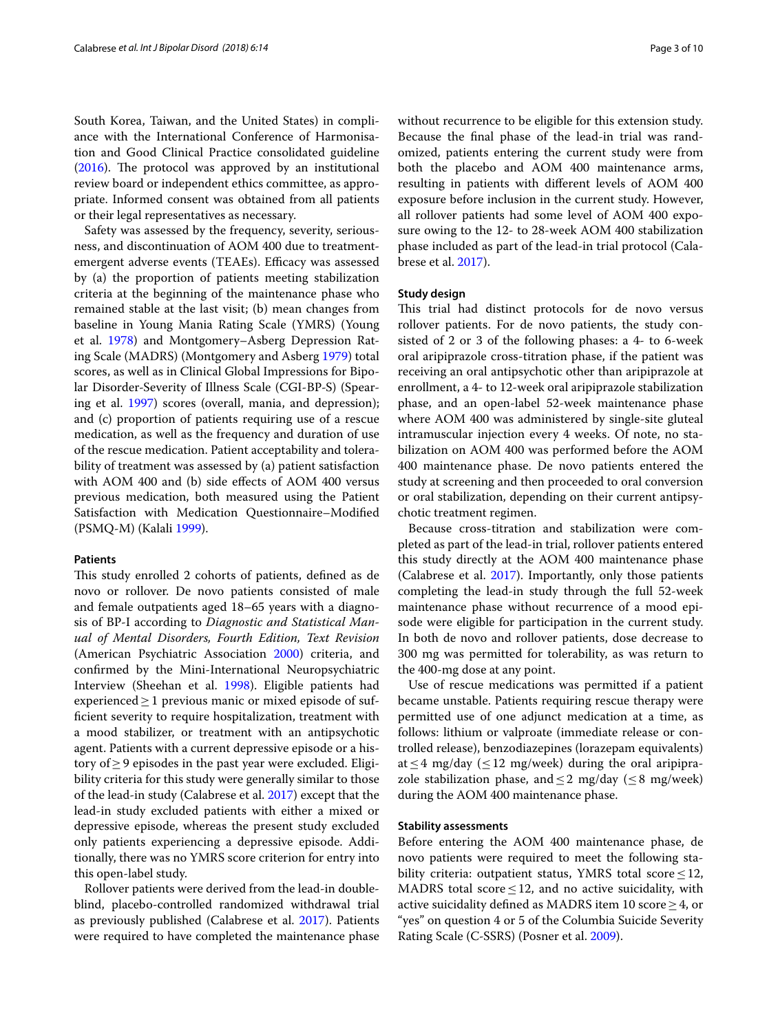South Korea, Taiwan, and the United States) in compliance with the International Conference of Harmonisation and Good Clinical Practice consolidated guideline ([2016\)](#page-9-18). The protocol was approved by an institutional review board or independent ethics committee, as appropriate. Informed consent was obtained from all patients or their legal representatives as necessary.

Safety was assessed by the frequency, severity, seriousness, and discontinuation of AOM 400 due to treatmentemergent adverse events (TEAEs). Efficacy was assessed by (a) the proportion of patients meeting stabilization criteria at the beginning of the maintenance phase who remained stable at the last visit; (b) mean changes from baseline in Young Mania Rating Scale (YMRS) (Young et al. [1978](#page-9-19)) and Montgomery–Asberg Depression Rating Scale (MADRS) (Montgomery and Asberg [1979](#page-9-20)) total scores, as well as in Clinical Global Impressions for Bipolar Disorder-Severity of Illness Scale (CGI-BP-S) (Spearing et al. [1997\)](#page-9-21) scores (overall, mania, and depression); and (c) proportion of patients requiring use of a rescue medication, as well as the frequency and duration of use of the rescue medication. Patient acceptability and tolerability of treatment was assessed by (a) patient satisfaction with AOM 400 and (b) side efects of AOM 400 versus previous medication, both measured using the Patient Satisfaction with Medication Questionnaire–Modifed (PSMQ-M) (Kalali [1999](#page-9-22)).

#### **Patients**

This study enrolled 2 cohorts of patients, defined as de novo or rollover. De novo patients consisted of male and female outpatients aged 18–65 years with a diagnosis of BP-I according to *Diagnostic and Statistical Manual of Mental Disorders, Fourth Edition, Text Revision* (American Psychiatric Association [2000](#page-9-23)) criteria, and confrmed by the Mini-International Neuropsychiatric Interview (Sheehan et al. [1998](#page-9-24)). Eligible patients had experienced  $\geq 1$  previous manic or mixed episode of suffcient severity to require hospitalization, treatment with a mood stabilizer, or treatment with an antipsychotic agent. Patients with a current depressive episode or a history of  $\geq$  9 episodes in the past year were excluded. Eligibility criteria for this study were generally similar to those of the lead-in study (Calabrese et al. [2017\)](#page-9-13) except that the lead-in study excluded patients with either a mixed or depressive episode, whereas the present study excluded only patients experiencing a depressive episode. Additionally, there was no YMRS score criterion for entry into this open-label study.

Rollover patients were derived from the lead-in doubleblind, placebo-controlled randomized withdrawal trial as previously published (Calabrese et al. [2017\)](#page-9-13). Patients were required to have completed the maintenance phase without recurrence to be eligible for this extension study. Because the fnal phase of the lead-in trial was randomized, patients entering the current study were from both the placebo and AOM 400 maintenance arms, resulting in patients with diferent levels of AOM 400 exposure before inclusion in the current study. However, all rollover patients had some level of AOM 400 exposure owing to the 12- to 28-week AOM 400 stabilization phase included as part of the lead-in trial protocol (Calabrese et al. [2017](#page-9-13)).

#### **Study design**

This trial had distinct protocols for de novo versus rollover patients. For de novo patients, the study consisted of 2 or 3 of the following phases: a 4- to 6-week oral aripiprazole cross-titration phase, if the patient was receiving an oral antipsychotic other than aripiprazole at enrollment, a 4- to 12-week oral aripiprazole stabilization phase, and an open-label 52-week maintenance phase where AOM 400 was administered by single-site gluteal intramuscular injection every 4 weeks. Of note, no stabilization on AOM 400 was performed before the AOM 400 maintenance phase. De novo patients entered the study at screening and then proceeded to oral conversion or oral stabilization, depending on their current antipsychotic treatment regimen.

Because cross-titration and stabilization were completed as part of the lead-in trial, rollover patients entered this study directly at the AOM 400 maintenance phase (Calabrese et al. [2017](#page-9-13)). Importantly, only those patients completing the lead-in study through the full 52-week maintenance phase without recurrence of a mood episode were eligible for participation in the current study. In both de novo and rollover patients, dose decrease to 300 mg was permitted for tolerability, as was return to the 400-mg dose at any point.

Use of rescue medications was permitted if a patient became unstable. Patients requiring rescue therapy were permitted use of one adjunct medication at a time, as follows: lithium or valproate (immediate release or controlled release), benzodiazepines (lorazepam equivalents) at  $\leq$  4 mg/day ( $\leq$  12 mg/week) during the oral aripiprazole stabilization phase, and  $\leq$  2 mg/day ( $\leq$  8 mg/week) during the AOM 400 maintenance phase.

### **Stability assessments**

Before entering the AOM 400 maintenance phase, de novo patients were required to meet the following stability criteria: outpatient status, YMRS total score  $\leq$  12, MADRS total score  $\leq$  12, and no active suicidality, with active suicidality defined as MADRS item 10 score  $\geq$  4, or "yes" on question 4 or 5 of the Columbia Suicide Severity Rating Scale (C-SSRS) (Posner et al. [2009\)](#page-9-25).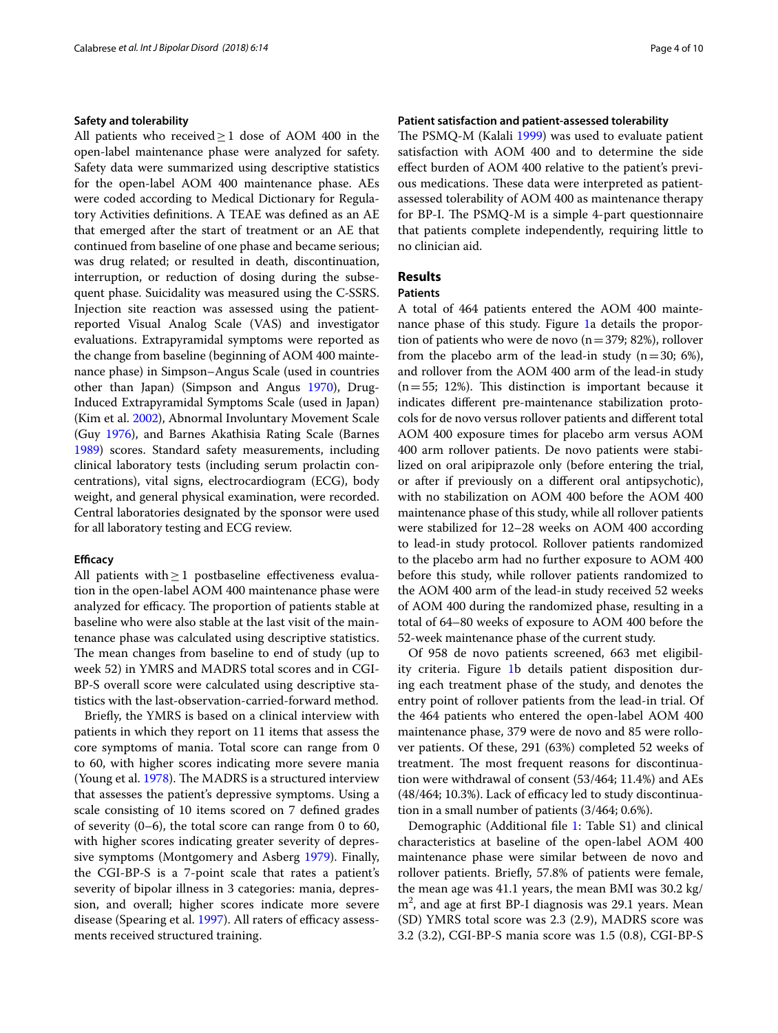## **Safety and tolerability**

All patients who received≥1 dose of AOM 400 in the open-label maintenance phase were analyzed for safety. Safety data were summarized using descriptive statistics for the open-label AOM 400 maintenance phase. AEs were coded according to Medical Dictionary for Regulatory Activities defnitions. A TEAE was defned as an AE that emerged after the start of treatment or an AE that continued from baseline of one phase and became serious; was drug related; or resulted in death, discontinuation, interruption, or reduction of dosing during the subsequent phase. Suicidality was measured using the C-SSRS. Injection site reaction was assessed using the patientreported Visual Analog Scale (VAS) and investigator evaluations. Extrapyramidal symptoms were reported as the change from baseline (beginning of AOM 400 maintenance phase) in Simpson–Angus Scale (used in countries other than Japan) (Simpson and Angus [1970](#page-9-26)), Drug-Induced Extrapyramidal Symptoms Scale (used in Japan) (Kim et al. [2002](#page-9-27)), Abnormal Involuntary Movement Scale (Guy [1976\)](#page-9-28), and Barnes Akathisia Rating Scale (Barnes [1989](#page-9-29)) scores. Standard safety measurements, including clinical laboratory tests (including serum prolactin concentrations), vital signs, electrocardiogram (ECG), body weight, and general physical examination, were recorded. Central laboratories designated by the sponsor were used for all laboratory testing and ECG review.

### **Efficacy**

All patients with  $\geq$  1 postbaseline effectiveness evaluation in the open-label AOM 400 maintenance phase were analyzed for efficacy. The proportion of patients stable at baseline who were also stable at the last visit of the maintenance phase was calculated using descriptive statistics. The mean changes from baseline to end of study (up to week 52) in YMRS and MADRS total scores and in CGI-BP-S overall score were calculated using descriptive statistics with the last-observation-carried-forward method.

Briefy, the YMRS is based on a clinical interview with patients in which they report on 11 items that assess the core symptoms of mania. Total score can range from 0 to 60, with higher scores indicating more severe mania (Young et al.  $1978$ ). The MADRS is a structured interview that assesses the patient's depressive symptoms. Using a scale consisting of 10 items scored on 7 defned grades of severity (0–6), the total score can range from 0 to 60, with higher scores indicating greater severity of depressive symptoms (Montgomery and Asberg [1979\)](#page-9-20). Finally, the CGI-BP-S is a 7-point scale that rates a patient's severity of bipolar illness in 3 categories: mania, depression, and overall; higher scores indicate more severe disease (Spearing et al. [1997](#page-9-21)). All raters of efficacy assessments received structured training.

# **Patient satisfaction and patient‑assessed tolerability**

The PSMQ-M (Kalali [1999](#page-9-22)) was used to evaluate patient satisfaction with AOM 400 and to determine the side efect burden of AOM 400 relative to the patient's previous medications. These data were interpreted as patientassessed tolerability of AOM 400 as maintenance therapy for BP-I. The  $PSMQ-M$  is a simple 4-part questionnaire that patients complete independently, requiring little to no clinician aid.

# **Results**

# **Patients**

A total of 464 patients entered the AOM 400 maintenance phase of this study. Figure [1a](#page-4-0) details the proportion of patients who were de novo  $(n=379; 82%)$ , rollover from the placebo arm of the lead-in study  $(n=30; 6\%)$ , and rollover from the AOM 400 arm of the lead-in study  $(n=55; 12%)$ . This distinction is important because it indicates diferent pre-maintenance stabilization protocols for de novo versus rollover patients and diferent total AOM 400 exposure times for placebo arm versus AOM 400 arm rollover patients. De novo patients were stabilized on oral aripiprazole only (before entering the trial, or after if previously on a diferent oral antipsychotic), with no stabilization on AOM 400 before the AOM 400 maintenance phase of this study, while all rollover patients were stabilized for 12–28 weeks on AOM 400 according to lead-in study protocol. Rollover patients randomized to the placebo arm had no further exposure to AOM 400 before this study, while rollover patients randomized to the AOM 400 arm of the lead-in study received 52 weeks of AOM 400 during the randomized phase, resulting in a total of 64–80 weeks of exposure to AOM 400 before the 52-week maintenance phase of the current study.

Of 958 de novo patients screened, 663 met eligibility criteria. Figure [1b](#page-4-0) details patient disposition during each treatment phase of the study, and denotes the entry point of rollover patients from the lead-in trial. Of the 464 patients who entered the open-label AOM 400 maintenance phase, 379 were de novo and 85 were rollover patients. Of these, 291 (63%) completed 52 weeks of treatment. The most frequent reasons for discontinuation were withdrawal of consent (53/464; 11.4%) and AEs  $(48/464; 10.3%)$ . Lack of efficacy led to study discontinuation in a small number of patients (3/464; 0.6%).

Demographic (Additional fle [1:](#page-8-0) Table S1) and clinical characteristics at baseline of the open-label AOM 400 maintenance phase were similar between de novo and rollover patients. Briefy, 57.8% of patients were female, the mean age was 41.1 years, the mean BMI was 30.2 kg/ m<sup>2</sup>, and age at first BP-I diagnosis was 29.1 years. Mean (SD) YMRS total score was 2.3 (2.9), MADRS score was 3.2 (3.2), CGI-BP-S mania score was 1.5 (0.8), CGI-BP-S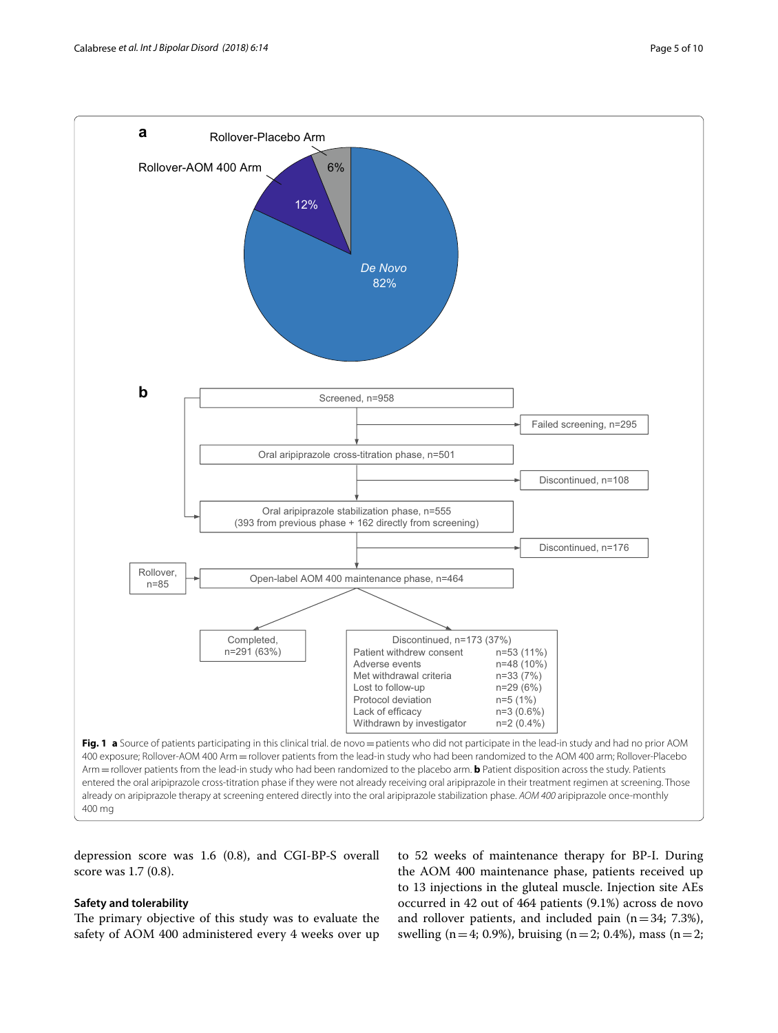

<span id="page-4-0"></span>depression score was 1.6 (0.8), and CGI-BP-S overall score was 1.7 (0.8).

# **Safety and tolerability**

The primary objective of this study was to evaluate the safety of AOM 400 administered every 4 weeks over up

to 52 weeks of maintenance therapy for BP-I. During the AOM 400 maintenance phase, patients received up to 13 injections in the gluteal muscle. Injection site AEs occurred in 42 out of 464 patients (9.1%) across de novo and rollover patients, and included pain  $(n=34; 7.3\%)$ , swelling (n=4; 0.9%), bruising (n=2; 0.4%), mass (n=2;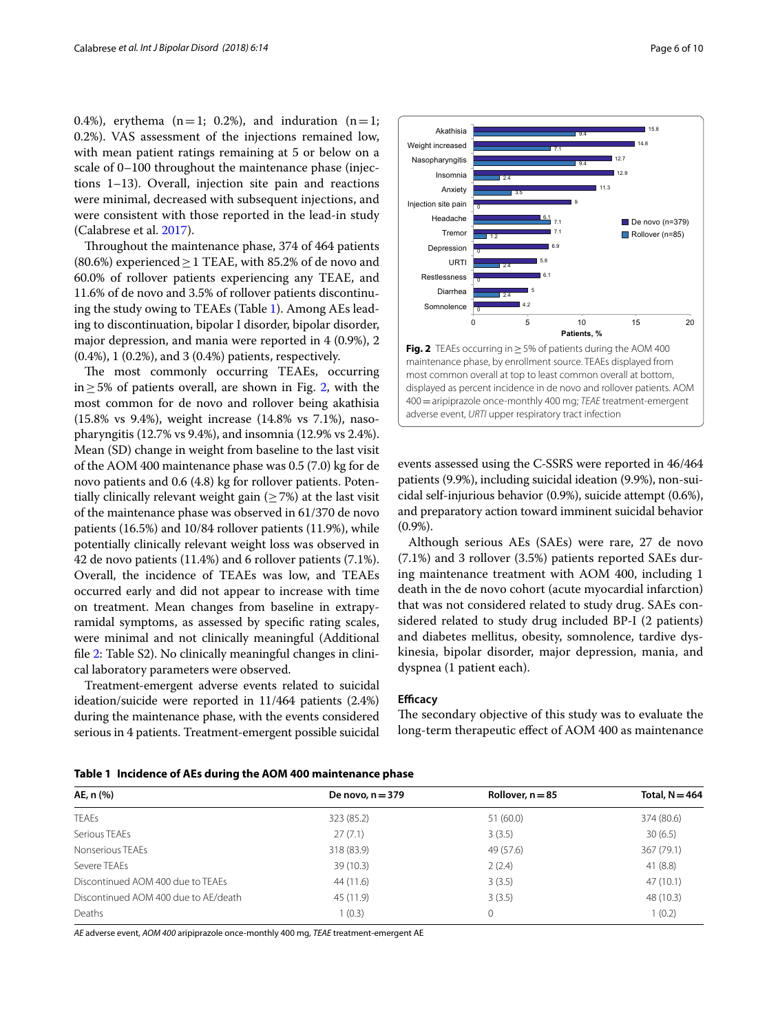0.4%), erythema ( $n=1$ ; 0.2%), and induration ( $n=1$ ; 0.2%). VAS assessment of the injections remained low, with mean patient ratings remaining at 5 or below on a scale of 0–100 throughout the maintenance phase (injections 1–13). Overall, injection site pain and reactions were minimal, decreased with subsequent injections, and were consistent with those reported in the lead-in study (Calabrese et al. [2017](#page-9-13)).

Throughout the maintenance phase, 374 of 464 patients (80.6%) experienced  $\geq$  1 TEAE, with 85.2% of de novo and 60.0% of rollover patients experiencing any TEAE, and 11.6% of de novo and 3.5% of rollover patients discontinuing the study owing to TEAEs (Table [1\)](#page-5-0). Among AEs leading to discontinuation, bipolar I disorder, bipolar disorder, major depression, and mania were reported in 4 (0.9%), 2 (0.4%), 1 (0.2%), and 3 (0.4%) patients, respectively.

The most commonly occurring TEAEs, occurring in≥5% of patients overall, are shown in Fig. [2](#page-5-1), with the most common for de novo and rollover being akathisia (15.8% vs 9.4%), weight increase (14.8% vs 7.1%), nasopharyngitis (12.7% vs 9.4%), and insomnia (12.9% vs 2.4%). Mean (SD) change in weight from baseline to the last visit of the AOM 400 maintenance phase was 0.5 (7.0) kg for de novo patients and 0.6 (4.8) kg for rollover patients. Potentially clinically relevant weight gain ( $\geq$  7%) at the last visit of the maintenance phase was observed in 61/370 de novo patients (16.5%) and 10/84 rollover patients (11.9%), while potentially clinically relevant weight loss was observed in 42 de novo patients (11.4%) and 6 rollover patients (7.1%). Overall, the incidence of TEAEs was low, and TEAEs occurred early and did not appear to increase with time on treatment. Mean changes from baseline in extrapyramidal symptoms, as assessed by specifc rating scales, were minimal and not clinically meaningful (Additional fle [2](#page-8-1): Table S2). No clinically meaningful changes in clinical laboratory parameters were observed.

Treatment-emergent adverse events related to suicidal ideation/suicide were reported in 11/464 patients (2.4%) during the maintenance phase, with the events considered serious in 4 patients. Treatment-emergent possible suicidal



<span id="page-5-1"></span>events assessed using the C-SSRS were reported in 46/464 patients (9.9%), including suicidal ideation (9.9%), non-suicidal self-injurious behavior (0.9%), suicide attempt (0.6%), and preparatory action toward imminent suicidal behavior (0.9%).

Although serious AEs (SAEs) were rare, 27 de novo (7.1%) and 3 rollover (3.5%) patients reported SAEs during maintenance treatment with AOM 400, including 1 death in the de novo cohort (acute myocardial infarction) that was not considered related to study drug. SAEs considered related to study drug included BP-I (2 patients) and diabetes mellitus, obesity, somnolence, tardive dyskinesia, bipolar disorder, major depression, mania, and dyspnea (1 patient each).

## **Efficacy**

The secondary objective of this study was to evaluate the long-term therapeutic efect of AOM 400 as maintenance

<span id="page-5-0"></span>

|  |  |  |  | Table 1 Incidence of AEs during the AOM 400 maintenance phase |  |
|--|--|--|--|---------------------------------------------------------------|--|
|--|--|--|--|---------------------------------------------------------------|--|

| AE, n (%)                            | De novo, $n = 379$ | Rollover, $n = 85$ | Total, $N = 464$ |
|--------------------------------------|--------------------|--------------------|------------------|
| <b>TEAEs</b>                         | 323 (85.2)         | 51(60.0)           | 374 (80.6)       |
| Serious TEAEs                        | 27(7.1)            | 3(3.5)             | 30(6.5)          |
| Nonserious TFAFs                     | 318 (83.9)         | 49 (57.6)          | 367 (79.1)       |
| Severe TEAEs                         | 39(10.3)           | 2(2.4)             | 41(8.8)          |
| Discontinued AOM 400 due to TEAEs    | 44 (11.6)          | 3(3.5)             | 47(10.1)         |
| Discontinued AOM 400 due to AE/death | 45 (11.9)          | 3(3.5)             | 48 (10.3)        |
| Deaths                               | 1(0.3)             | 0                  | 1(0.2)           |

*AE* adverse event, *AOM 400* aripiprazole once-monthly 400 mg, *TEAE* treatment-emergent AE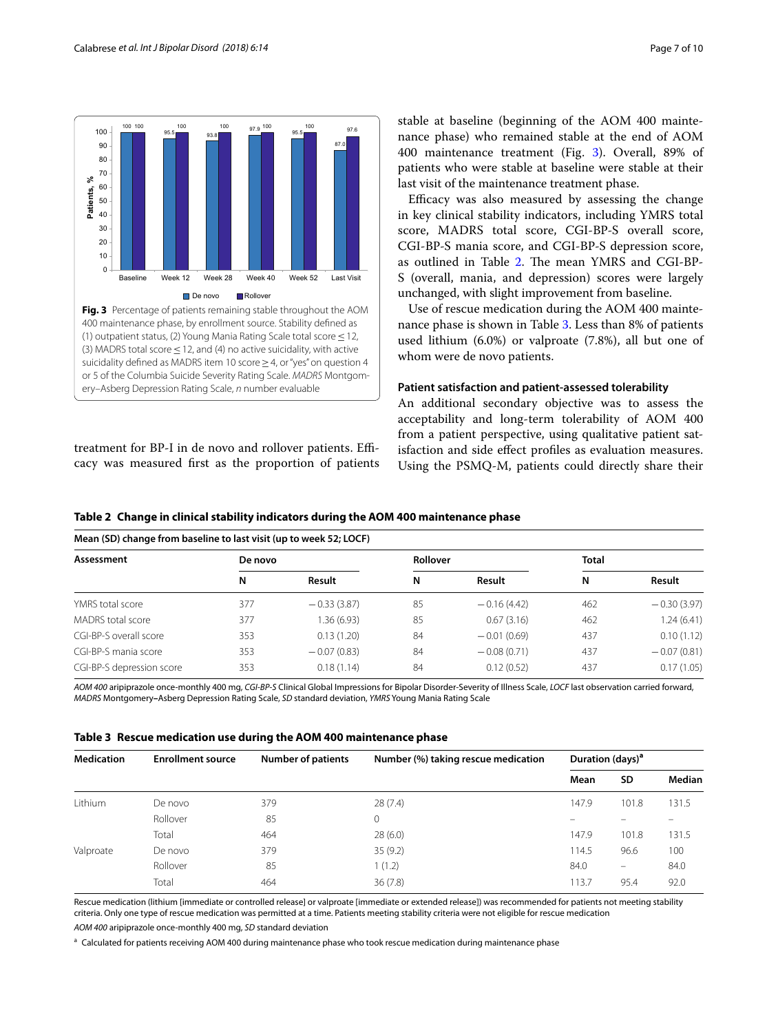

<span id="page-6-0"></span>treatment for BP-I in de novo and rollover patients. Efficacy was measured frst as the proportion of patients

**Mean (SD) change from baseline to last visit (up to week 52; LOCF)**

stable at baseline (beginning of the AOM 400 maintenance phase) who remained stable at the end of AOM 400 maintenance treatment (Fig. [3\)](#page-6-0). Overall, 89% of patients who were stable at baseline were stable at their last visit of the maintenance treatment phase.

Efficacy was also measured by assessing the change in key clinical stability indicators, including YMRS total score, MADRS total score, CGI-BP-S overall score, CGI-BP-S mania score, and CGI-BP-S depression score, as outlined in Table [2](#page-6-1). The mean YMRS and CGI-BP-S (overall, mania, and depression) scores were largely unchanged, with slight improvement from baseline.

Use of rescue medication during the AOM 400 maintenance phase is shown in Table [3.](#page-6-2) Less than 8% of patients used lithium (6.0%) or valproate (7.8%), all but one of whom were de novo patients.

#### **Patient satisfaction and patient‑assessed tolerability**

An additional secondary objective was to assess the acceptability and long-term tolerability of AOM 400 from a patient perspective, using qualitative patient satisfaction and side efect profles as evaluation measures. Using the PSMQ-M, patients could directly share their

<span id="page-6-1"></span>

|  |  | Table 2   Change in clinical stability indicators during the AOM 400 maintenance phase |
|--|--|----------------------------------------------------------------------------------------|
|  |  |                                                                                        |

| (Nearl (3D) change from baseline to last visit (up to week 32; LOCF) |         |               |                 |               |              |               |  |
|----------------------------------------------------------------------|---------|---------------|-----------------|---------------|--------------|---------------|--|
| Assessment                                                           | De novo |               | <b>Rollover</b> |               | <b>Total</b> |               |  |
|                                                                      | N       | Result        | N               | Result        | N            | Result        |  |
| YMRS total score                                                     | 377     | $-0.33(3.87)$ | 85              | $-0.16(4.42)$ | 462          | $-0.30(3.97)$ |  |
| MADRS total score                                                    | 377     | 1.36 (6.93)   | 85              | 0.67(3.16)    | 462          | 1.24(6.41)    |  |
| CGI-BP-S overall score                                               | 353     | 0.13(1.20)    | 84              | $-0.01(0.69)$ | 437          | 0.10(1.12)    |  |
| CGI-BP-S mania score                                                 | 353     | $-0.07(0.83)$ | 84              | $-0.08(0.71)$ | 437          | $-0.07(0.81)$ |  |
| CGI-BP-S depression score                                            | 353     | 0.18(1.14)    | 84              | 0.12(0.52)    | 437          | 0.17(1.05)    |  |

*AOM 400* aripiprazole once-monthly 400 mg, *CGI-BP-S* Clinical Global Impressions for Bipolar Disorder-Severity of Illness Scale, *LOCF* last observation carried forward, *MADRS* Montgomery**–**Asberg Depression Rating Scale, *SD* standard deviation, *YMRS* Young Mania Rating Scale

<span id="page-6-2"></span>

|  | Table 3 Rescue medication use during the AOM 400 maintenance phase |  |  |  |
|--|--------------------------------------------------------------------|--|--|--|
|--|--------------------------------------------------------------------|--|--|--|

| <b>Medication</b> | <b>Enrollment source</b> | <b>Number of patients</b> | Number (%) taking rescue medication | Duration (days) <sup>a</sup> |       |        |
|-------------------|--------------------------|---------------------------|-------------------------------------|------------------------------|-------|--------|
|                   |                          |                           |                                     | Mean                         | SD    | Median |
| Lithium           | De novo                  | 379                       | 28(7.4)                             | 147.9                        | 101.8 | 131.5  |
|                   | Rollover                 | 85                        | 0                                   |                              |       |        |
|                   | Total                    | 464                       | 28(6.0)                             | 147.9                        | 101.8 | 131.5  |
| Valproate         | De novo                  | 379                       | 35(9.2)                             | 114.5                        | 96.6  | 100    |
|                   | Rollover                 | 85                        | 1(1.2)                              | 84.0                         | -     | 84.0   |
|                   | Total                    | 464                       | 36(7.8)                             | 113.7                        | 95.4  | 92.0   |

Rescue medication (lithium [immediate or controlled release] or valproate [immediate or extended release]) was recommended for patients not meeting stability criteria. Only one type of rescue medication was permitted at a time. Patients meeting stability criteria were not eligible for rescue medication

*AOM 400* aripiprazole once-monthly 400 mg, *SD* standard deviation

<sup>a</sup> Calculated for patients receiving AOM 400 during maintenance phase who took rescue medication during maintenance phase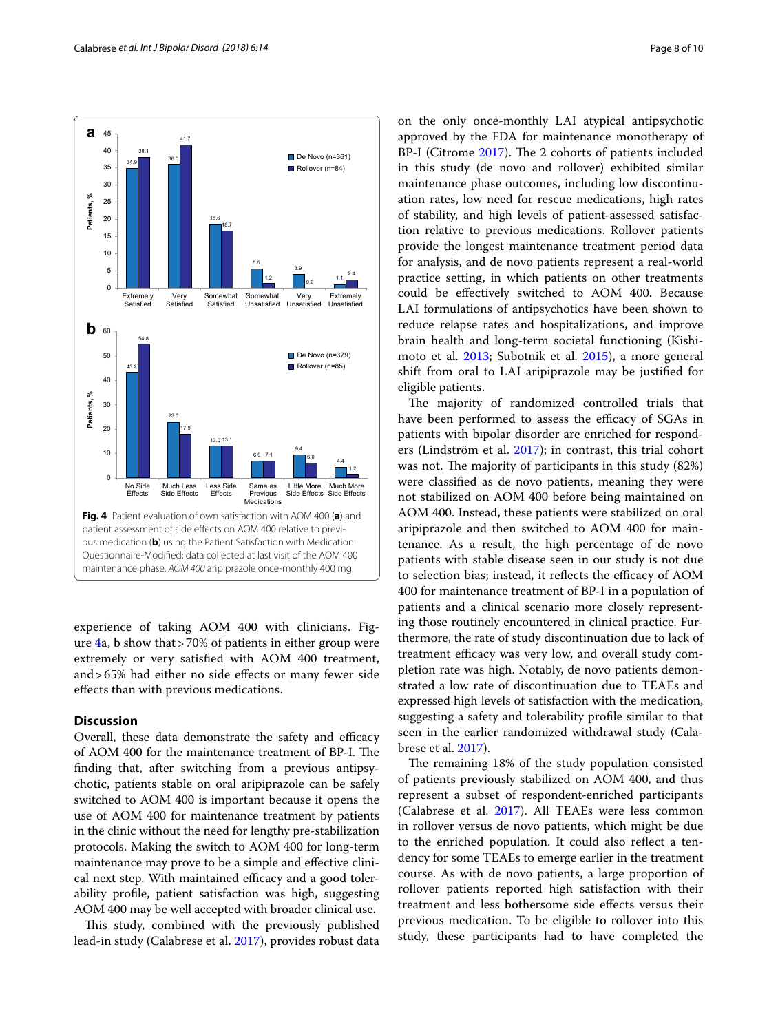



<span id="page-7-0"></span>experience of taking AOM 400 with clinicians. Figure [4a](#page-7-0), b show that>70% of patients in either group were extremely or very satisfed with AOM 400 treatment, and>65% had either no side efects or many fewer side efects than with previous medications.

# **Discussion**

Overall, these data demonstrate the safety and efficacy of AOM 400 for the maintenance treatment of BP-I. The fnding that, after switching from a previous antipsychotic, patients stable on oral aripiprazole can be safely switched to AOM 400 is important because it opens the use of AOM 400 for maintenance treatment by patients in the clinic without the need for lengthy pre-stabilization protocols. Making the switch to AOM 400 for long-term maintenance may prove to be a simple and efective clinical next step. With maintained efficacy and a good tolerability profle, patient satisfaction was high, suggesting AOM 400 may be well accepted with broader clinical use.

This study, combined with the previously published lead-in study (Calabrese et al. [2017](#page-9-13)), provides robust data on the only once-monthly LAI atypical antipsychotic approved by the FDA for maintenance monotherapy of BP-I (Citrome [2017](#page-9-30)). The 2 cohorts of patients included in this study (de novo and rollover) exhibited similar maintenance phase outcomes, including low discontinuation rates, low need for rescue medications, high rates of stability, and high levels of patient-assessed satisfaction relative to previous medications. Rollover patients provide the longest maintenance treatment period data for analysis, and de novo patients represent a real-world practice setting, in which patients on other treatments could be efectively switched to AOM 400. Because LAI formulations of antipsychotics have been shown to reduce relapse rates and hospitalizations, and improve brain health and long-term societal functioning (Kishimoto et al. [2013;](#page-9-31) Subotnik et al. [2015\)](#page-9-32), a more general shift from oral to LAI aripiprazole may be justifed for eligible patients.

The majority of randomized controlled trials that have been performed to assess the efficacy of SGAs in patients with bipolar disorder are enriched for responders (Lindström et al. [2017](#page-9-5)); in contrast, this trial cohort was not. The majority of participants in this study  $(82%)$ were classifed as de novo patients, meaning they were not stabilized on AOM 400 before being maintained on AOM 400. Instead, these patients were stabilized on oral aripiprazole and then switched to AOM 400 for maintenance. As a result, the high percentage of de novo patients with stable disease seen in our study is not due to selection bias; instead, it reflects the efficacy of AOM 400 for maintenance treatment of BP-I in a population of patients and a clinical scenario more closely representing those routinely encountered in clinical practice. Furthermore, the rate of study discontinuation due to lack of treatment efficacy was very low, and overall study completion rate was high. Notably, de novo patients demonstrated a low rate of discontinuation due to TEAEs and expressed high levels of satisfaction with the medication, suggesting a safety and tolerability profle similar to that seen in the earlier randomized withdrawal study (Calabrese et al. [2017](#page-9-13)).

The remaining 18% of the study population consisted of patients previously stabilized on AOM 400, and thus represent a subset of respondent-enriched participants (Calabrese et al. [2017](#page-9-13)). All TEAEs were less common in rollover versus de novo patients, which might be due to the enriched population. It could also refect a tendency for some TEAEs to emerge earlier in the treatment course. As with de novo patients, a large proportion of rollover patients reported high satisfaction with their treatment and less bothersome side efects versus their previous medication. To be eligible to rollover into this study, these participants had to have completed the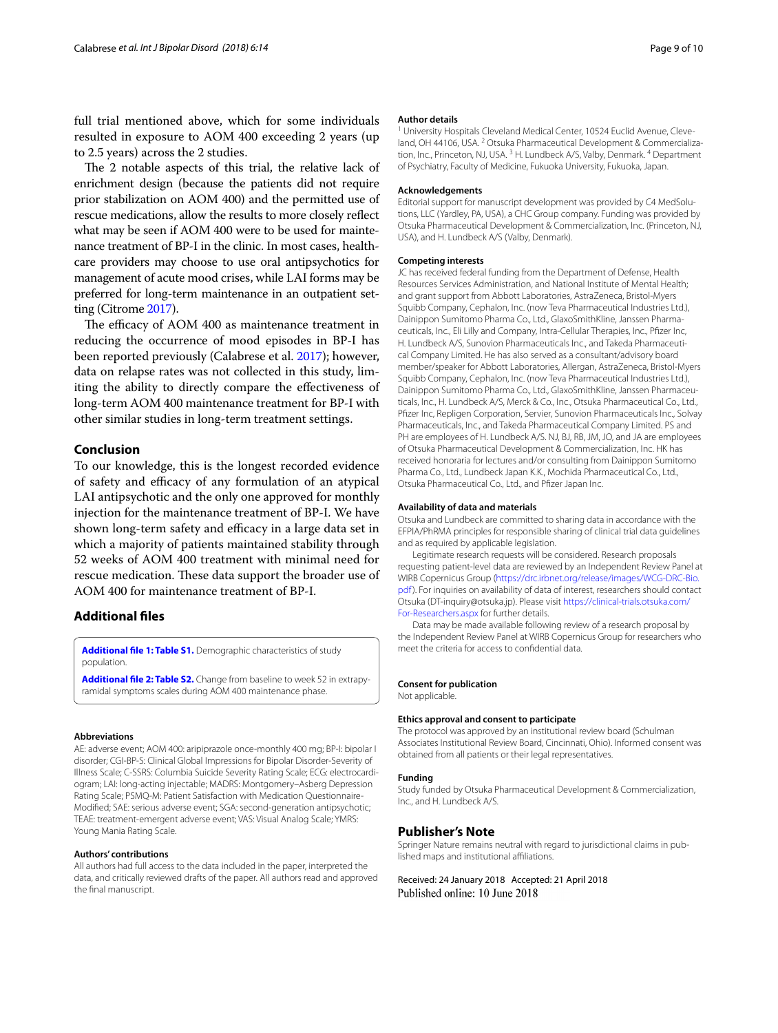full trial mentioned above, which for some individuals resulted in exposure to AOM 400 exceeding 2 years (up to 2.5 years) across the 2 studies.

The 2 notable aspects of this trial, the relative lack of enrichment design (because the patients did not require prior stabilization on AOM 400) and the permitted use of rescue medications, allow the results to more closely refect what may be seen if AOM 400 were to be used for maintenance treatment of BP-I in the clinic. In most cases, healthcare providers may choose to use oral antipsychotics for management of acute mood crises, while LAI forms may be preferred for long-term maintenance in an outpatient setting (Citrome [2017\)](#page-9-30).

The efficacy of AOM 400 as maintenance treatment in reducing the occurrence of mood episodes in BP-I has been reported previously (Calabrese et al. [2017\)](#page-9-13); however, data on relapse rates was not collected in this study, limiting the ability to directly compare the efectiveness of long-term AOM 400 maintenance treatment for BP-I with other similar studies in long-term treatment settings.

# **Conclusion**

To our knowledge, this is the longest recorded evidence of safety and efficacy of any formulation of an atypical LAI antipsychotic and the only one approved for monthly injection for the maintenance treatment of BP-I. We have shown long-term safety and efficacy in a large data set in which a majority of patients maintained stability through 52 weeks of AOM 400 treatment with minimal need for rescue medication. These data support the broader use of AOM 400 for maintenance treatment of BP-I.

## **Additional fles**

<span id="page-8-1"></span><span id="page-8-0"></span>**[Additional fle](https://doi.org/10.1186/s40345-018-0122-z) 1: Table S1.** Demographic characteristics of study population.

**[Additional fle](https://doi.org/10.1186/s40345-018-0122-z) 2: Table S2.** Change from baseline to week 52 in extrapyramidal symptoms scales during AOM 400 maintenance phase.

#### **Abbreviations**

AE: adverse event; AOM 400: aripiprazole once-monthly 400 mg; BP-I: bipolar I disorder; CGI-BP-S: Clinical Global Impressions for Bipolar Disorder-Severity of Illness Scale; C-SSRS: Columbia Suicide Severity Rating Scale; ECG: electrocardiogram; LAI: long-acting injectable; MADRS: Montgomery–Asberg Depression Rating Scale; PSMQ-M: Patient Satisfaction with Medication Questionnaire-Modifed; SAE: serious adverse event; SGA: second-generation antipsychotic; TEAE: treatment-emergent adverse event; VAS: Visual Analog Scale; YMRS: Young Mania Rating Scale.

#### **Authors' contributions**

All authors had full access to the data included in the paper, interpreted the data, and critically reviewed drafts of the paper. All authors read and approved the fnal manuscript.

#### **Author details**

<sup>1</sup> University Hospitals Cleveland Medical Center, 10524 Euclid Avenue, Cleveland, OH 44106, USA.<sup>2</sup> Otsuka Pharmaceutical Development & Commercialization, Inc., Princeton, NJ, USA.<sup>3</sup> H. Lundbeck A/S, Valby, Denmark.<sup>4</sup> Department of Psychiatry, Faculty of Medicine, Fukuoka University, Fukuoka, Japan.

#### **Acknowledgements**

Editorial support for manuscript development was provided by C4 MedSolutions, LLC (Yardley, PA, USA), a CHC Group company. Funding was provided by Otsuka Pharmaceutical Development & Commercialization, Inc. (Princeton, NJ, USA), and H. Lundbeck A/S (Valby, Denmark).

#### **Competing interests**

JC has received federal funding from the Department of Defense, Health Resources Services Administration, and National Institute of Mental Health; and grant support from Abbott Laboratories, AstraZeneca, Bristol-Myers Squibb Company, Cephalon, Inc. (now Teva Pharmaceutical Industries Ltd.), Dainippon Sumitomo Pharma Co., Ltd., GlaxoSmithKline, Janssen Pharmaceuticals, Inc., Eli Lilly and Company, Intra-Cellular Therapies, Inc., Pfzer Inc, H. Lundbeck A/S, Sunovion Pharmaceuticals Inc., and Takeda Pharmaceutical Company Limited. He has also served as a consultant/advisory board member/speaker for Abbott Laboratories, Allergan, AstraZeneca, Bristol-Myers Squibb Company, Cephalon, Inc. (now Teva Pharmaceutical Industries Ltd.), Dainippon Sumitomo Pharma Co., Ltd., GlaxoSmithKline, Janssen Pharmaceuticals, Inc., H. Lundbeck A/S, Merck & Co., Inc., Otsuka Pharmaceutical Co., Ltd., Pfzer Inc, Repligen Corporation, Servier, Sunovion Pharmaceuticals Inc., Solvay Pharmaceuticals, Inc., and Takeda Pharmaceutical Company Limited. PS and PH are employees of H. Lundbeck A/S. NJ, BJ, RB, JM, JO, and JA are employees of Otsuka Pharmaceutical Development & Commercialization, Inc. HK has received honoraria for lectures and/or consulting from Dainippon Sumitomo Pharma Co., Ltd., Lundbeck Japan K.K., Mochida Pharmaceutical Co., Ltd., Otsuka Pharmaceutical Co., Ltd., and Pfzer Japan Inc.

#### **Availability of data and materials**

Otsuka and Lundbeck are committed to sharing data in accordance with the EFPIA/PhRMA principles for responsible sharing of clinical trial data guidelines and as required by applicable legislation.

Legitimate research requests will be considered. Research proposals requesting patient-level data are reviewed by an Independent Review Panel at WIRB Copernicus Group ([https://drc.irbnet.org/release/images/WCG-DRC-Bio.](https://drc.irbnet.org/release/images/WCG-DRC-Bio.pdf) [pdf\)](https://drc.irbnet.org/release/images/WCG-DRC-Bio.pdf). For inquiries on availability of data of interest, researchers should contact Otsuka (DT-inquiry@otsuka.jp). Please visit [https://clinical-trials.otsuka.com/](https://clinical-trials.otsuka.com/For-Researchers.aspx) [For-Researchers.aspx](https://clinical-trials.otsuka.com/For-Researchers.aspx) for further details.

Data may be made available following review of a research proposal by the Independent Review Panel at WIRB Copernicus Group for researchers who meet the criteria for access to confdential data.

#### **Consent for publication**

Not applicable.

#### **Ethics approval and consent to participate**

The protocol was approved by an institutional review board (Schulman Associates Institutional Review Board, Cincinnati, Ohio). Informed consent was obtained from all patients or their legal representatives.

#### **Funding**

Study funded by Otsuka Pharmaceutical Development & Commercialization, Inc., and H. Lundbeck A/S.

#### **Publisher's Note**

Springer Nature remains neutral with regard to jurisdictional claims in published maps and institutional afliations.

Received: 24 January 2018 Accepted: 21 April 2018Published online: 10 June 2018